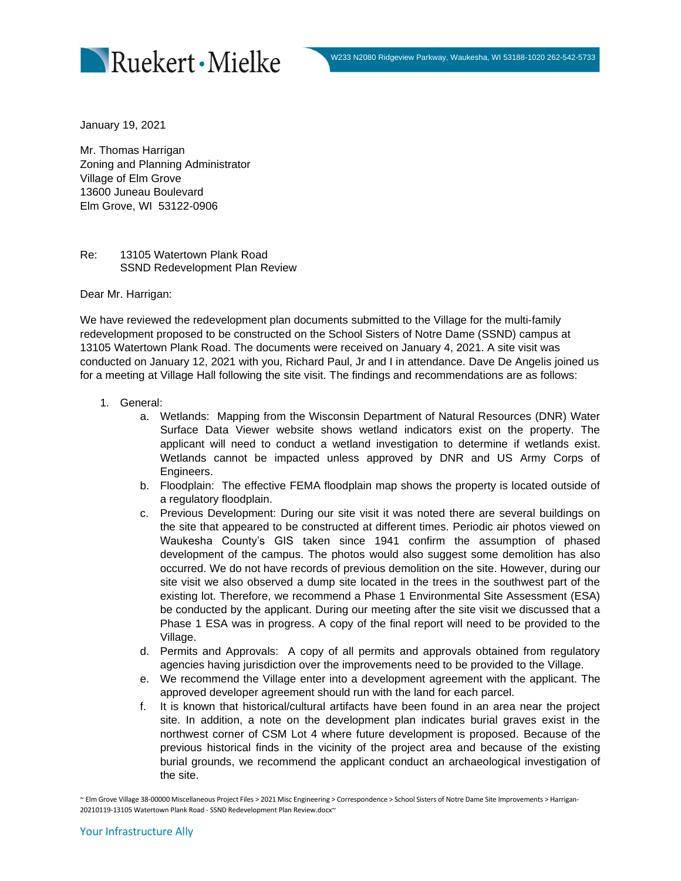

January 19, 2021

Mr. Thomas Harrigan Zoning and Planning Administrator Village of Elm Grove 13600 Juneau Boulevard Elm Grove, WI 53122-0906

Re: 13105 Watertown Plank Road SSND Redevelopment Plan Review

Dear Mr. Harrigan:

We have reviewed the redevelopment plan documents submitted to the Village for the multi-family redevelopment proposed to be constructed on the School Sisters of Notre Dame (SSND) campus at 13105 Watertown Plank Road. The documents were received on January 4, 2021. A site visit was conducted on January 12, 2021 with you, Richard Paul, Jr and I in attendance. Dave De Angelis joined us for a meeting at Village Hall following the site visit. The findings and recommendations are as follows:

- 1. General:
	- a. Wetlands: Mapping from the Wisconsin Department of Natural Resources (DNR) Water Surface Data Viewer website shows wetland indicators exist on the property. The applicant will need to conduct a wetland investigation to determine if wetlands exist. Wetlands cannot be impacted unless approved by DNR and US Army Corps of Engineers.
	- b. Floodplain: The effective FEMA floodplain map shows the property is located outside of a regulatory floodplain.
	- c. Previous Development: During our site visit it was noted there are several buildings on the site that appeared to be constructed at different times. Periodic air photos viewed on Waukesha County's GIS taken since 1941 confirm the assumption of phased development of the campus. The photos would also suggest some demolition has also occurred. We do not have records of previous demolition on the site. However, during our site visit we also observed a dump site located in the trees in the southwest part of the existing lot. Therefore, we recommend a Phase 1 Environmental Site Assessment (ESA) be conducted by the applicant. During our meeting after the site visit we discussed that a Phase 1 ESA was in progress. A copy of the final report will need to be provided to the Village.
	- d. Permits and Approvals: A copy of all permits and approvals obtained from regulatory agencies having jurisdiction over the improvements need to be provided to the Village.
	- e. We recommend the Village enter into a development agreement with the applicant. The approved developer agreement should run with the land for each parcel.
	- f. It is known that historical/cultural artifacts have been found in an area near the project site. In addition, a note on the development plan indicates burial graves exist in the northwest corner of CSM Lot 4 where future development is proposed. Because of the previous historical finds in the vicinity of the project area and because of the existing burial grounds, we recommend the applicant conduct an archaeological investigation of the site.

~ Elm Grove Village 38-00000 Miscellaneous Project Files > 2021 Misc Engineering > Correspondence > School Sisters of Notre Dame Site Improvements > Harrigan-20210119-13105 Watertown Plank Road - SSND Redevelopment Plan Review.docx~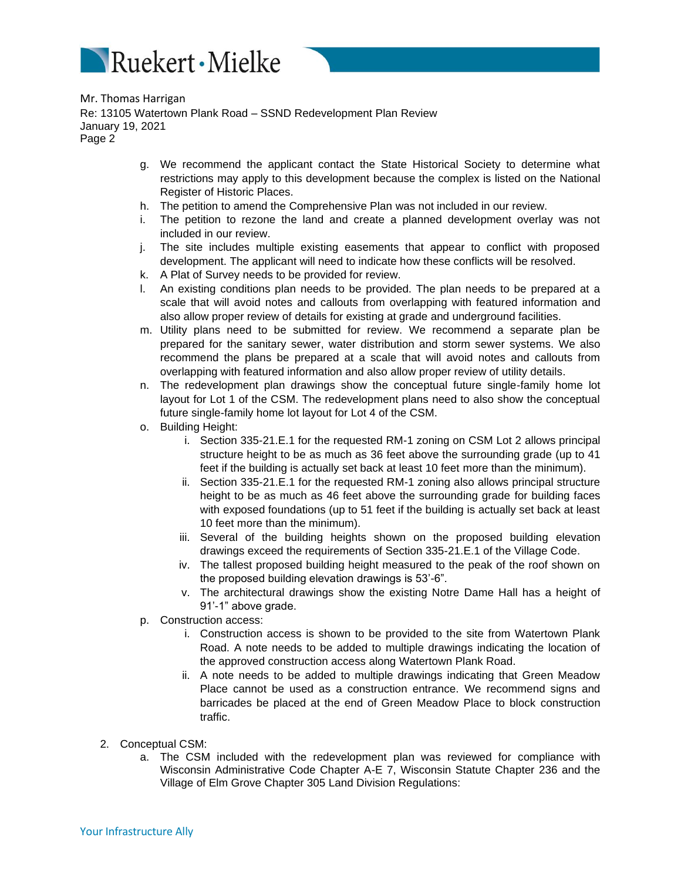

- g. We recommend the applicant contact the State Historical Society to determine what restrictions may apply to this development because the complex is listed on the National Register of Historic Places.
- h. The petition to amend the Comprehensive Plan was not included in our review.
- i. The petition to rezone the land and create a planned development overlay was not included in our review.
- j. The site includes multiple existing easements that appear to conflict with proposed development. The applicant will need to indicate how these conflicts will be resolved.
- k. A Plat of Survey needs to be provided for review.
- l. An existing conditions plan needs to be provided. The plan needs to be prepared at a scale that will avoid notes and callouts from overlapping with featured information and also allow proper review of details for existing at grade and underground facilities.
- m. Utility plans need to be submitted for review. We recommend a separate plan be prepared for the sanitary sewer, water distribution and storm sewer systems. We also recommend the plans be prepared at a scale that will avoid notes and callouts from overlapping with featured information and also allow proper review of utility details.
- n. The redevelopment plan drawings show the conceptual future single-family home lot layout for Lot 1 of the CSM. The redevelopment plans need to also show the conceptual future single-family home lot layout for Lot 4 of the CSM.
- o. Building Height:
	- i. Section 335-21.E.1 for the requested RM-1 zoning on CSM Lot 2 allows principal structure height to be as much as 36 feet above the surrounding grade (up to 41 feet if the building is actually set back at least 10 feet more than the minimum).
	- ii. Section 335-21.E.1 for the requested RM-1 zoning also allows principal structure height to be as much as 46 feet above the surrounding grade for building faces with exposed foundations (up to 51 feet if the building is actually set back at least 10 feet more than the minimum).
	- iii. Several of the building heights shown on the proposed building elevation drawings exceed the requirements of Section 335-21.E.1 of the Village Code.
	- iv. The tallest proposed building height measured to the peak of the roof shown on the proposed building elevation drawings is 53'-6".
	- v. The architectural drawings show the existing Notre Dame Hall has a height of 91'-1" above grade.
- p. Construction access:
	- i. Construction access is shown to be provided to the site from Watertown Plank Road. A note needs to be added to multiple drawings indicating the location of the approved construction access along Watertown Plank Road.
	- ii. A note needs to be added to multiple drawings indicating that Green Meadow Place cannot be used as a construction entrance. We recommend signs and barricades be placed at the end of Green Meadow Place to block construction traffic.
- 2. Conceptual CSM:
	- a. The CSM included with the redevelopment plan was reviewed for compliance with Wisconsin Administrative Code Chapter A-E 7, Wisconsin Statute Chapter 236 and the Village of Elm Grove Chapter 305 Land Division Regulations: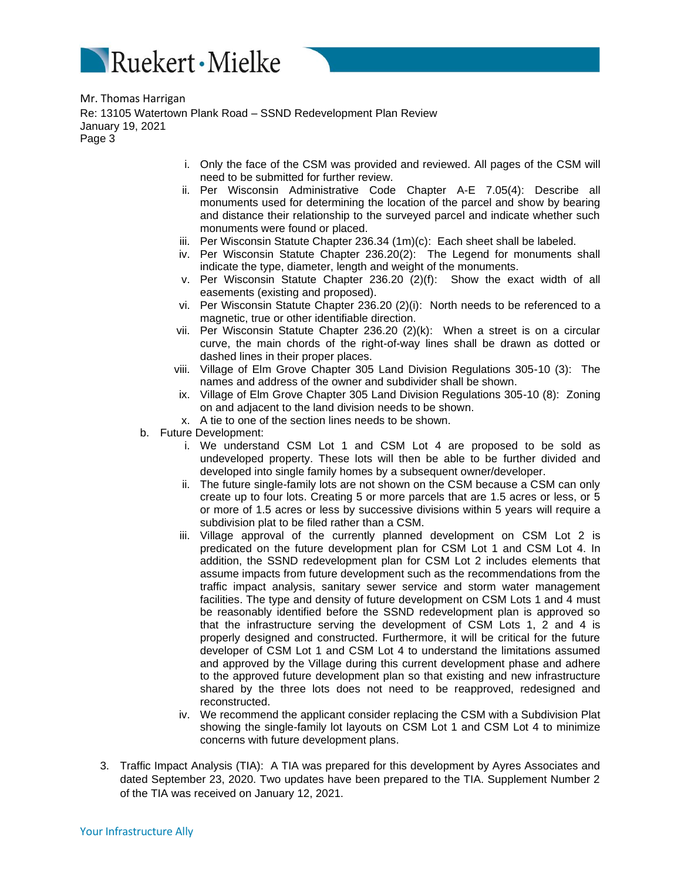

- i. Only the face of the CSM was provided and reviewed. All pages of the CSM will need to be submitted for further review.
- ii. Per Wisconsin Administrative Code Chapter A-E 7.05(4): Describe all monuments used for determining the location of the parcel and show by bearing and distance their relationship to the surveyed parcel and indicate whether such monuments were found or placed.
- iii. Per Wisconsin Statute Chapter 236.34 (1m)(c): Each sheet shall be labeled.
- iv. Per Wisconsin Statute Chapter 236.20(2): The Legend for monuments shall indicate the type, diameter, length and weight of the monuments.
- v. Per Wisconsin Statute Chapter 236.20 (2)(f): Show the exact width of all easements (existing and proposed).
- vi. Per Wisconsin Statute Chapter 236.20 (2)(i): North needs to be referenced to a magnetic, true or other identifiable direction.
- vii. Per Wisconsin Statute Chapter 236.20 (2)(k): When a street is on a circular curve, the main chords of the right-of-way lines shall be drawn as dotted or dashed lines in their proper places.
- viii. Village of Elm Grove Chapter 305 Land Division Regulations 305-10 (3): The names and address of the owner and subdivider shall be shown.
- ix. Village of Elm Grove Chapter 305 Land Division Regulations 305-10 (8): Zoning on and adjacent to the land division needs to be shown.
- x. A tie to one of the section lines needs to be shown.
- b. Future Development:
	- i. We understand CSM Lot 1 and CSM Lot 4 are proposed to be sold as undeveloped property. These lots will then be able to be further divided and developed into single family homes by a subsequent owner/developer.
	- ii. The future single-family lots are not shown on the CSM because a CSM can only create up to four lots. Creating 5 or more parcels that are 1.5 acres or less, or 5 or more of 1.5 acres or less by successive divisions within 5 years will require a subdivision plat to be filed rather than a CSM.
	- iii. Village approval of the currently planned development on CSM Lot 2 is predicated on the future development plan for CSM Lot 1 and CSM Lot 4. In addition, the SSND redevelopment plan for CSM Lot 2 includes elements that assume impacts from future development such as the recommendations from the traffic impact analysis, sanitary sewer service and storm water management facilities. The type and density of future development on CSM Lots 1 and 4 must be reasonably identified before the SSND redevelopment plan is approved so that the infrastructure serving the development of CSM Lots 1, 2 and 4 is properly designed and constructed. Furthermore, it will be critical for the future developer of CSM Lot 1 and CSM Lot 4 to understand the limitations assumed and approved by the Village during this current development phase and adhere to the approved future development plan so that existing and new infrastructure shared by the three lots does not need to be reapproved, redesigned and reconstructed.
	- iv. We recommend the applicant consider replacing the CSM with a Subdivision Plat showing the single-family lot layouts on CSM Lot 1 and CSM Lot 4 to minimize concerns with future development plans.
- 3. Traffic Impact Analysis (TIA): A TIA was prepared for this development by Ayres Associates and dated September 23, 2020. Two updates have been prepared to the TIA. Supplement Number 2 of the TIA was received on January 12, 2021.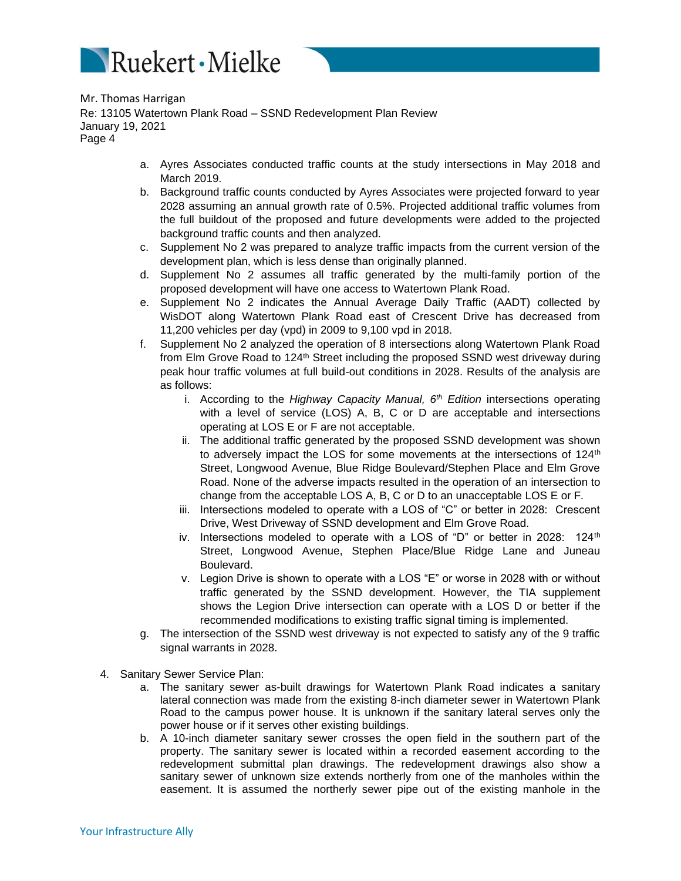

- a. Ayres Associates conducted traffic counts at the study intersections in May 2018 and March 2019.
- b. Background traffic counts conducted by Ayres Associates were projected forward to year 2028 assuming an annual growth rate of 0.5%. Projected additional traffic volumes from the full buildout of the proposed and future developments were added to the projected background traffic counts and then analyzed.
- c. Supplement No 2 was prepared to analyze traffic impacts from the current version of the development plan, which is less dense than originally planned.
- d. Supplement No 2 assumes all traffic generated by the multi-family portion of the proposed development will have one access to Watertown Plank Road.
- e. Supplement No 2 indicates the Annual Average Daily Traffic (AADT) collected by WisDOT along Watertown Plank Road east of Crescent Drive has decreased from 11,200 vehicles per day (vpd) in 2009 to 9,100 vpd in 2018.
- f. Supplement No 2 analyzed the operation of 8 intersections along Watertown Plank Road from Elm Grove Road to 124<sup>th</sup> Street including the proposed SSND west driveway during peak hour traffic volumes at full build-out conditions in 2028. Results of the analysis are as follows:
	- i. According to the *Highway Capacity Manual, 6th Edition* intersections operating with a level of service (LOS) A, B, C or D are acceptable and intersections operating at LOS E or F are not acceptable.
	- ii. The additional traffic generated by the proposed SSND development was shown to adversely impact the LOS for some movements at the intersections of  $124<sup>th</sup>$ Street, Longwood Avenue, Blue Ridge Boulevard/Stephen Place and Elm Grove Road. None of the adverse impacts resulted in the operation of an intersection to change from the acceptable LOS A, B, C or D to an unacceptable LOS E or F*.*
	- iii. Intersections modeled to operate with a LOS of "C" or better in 2028: Crescent Drive, West Driveway of SSND development and Elm Grove Road.
	- iv. Intersections modeled to operate with a LOS of "D" or better in 2028:  $124<sup>th</sup>$ Street, Longwood Avenue, Stephen Place/Blue Ridge Lane and Juneau Boulevard.
	- v. Legion Drive is shown to operate with a LOS "E" or worse in 2028 with or without traffic generated by the SSND development. However, the TIA supplement shows the Legion Drive intersection can operate with a LOS D or better if the recommended modifications to existing traffic signal timing is implemented.
- g. The intersection of the SSND west driveway is not expected to satisfy any of the 9 traffic signal warrants in 2028.
- 4. Sanitary Sewer Service Plan:
	- a. The sanitary sewer as-built drawings for Watertown Plank Road indicates a sanitary lateral connection was made from the existing 8-inch diameter sewer in Watertown Plank Road to the campus power house. It is unknown if the sanitary lateral serves only the power house or if it serves other existing buildings.
	- b. A 10-inch diameter sanitary sewer crosses the open field in the southern part of the property. The sanitary sewer is located within a recorded easement according to the redevelopment submittal plan drawings. The redevelopment drawings also show a sanitary sewer of unknown size extends northerly from one of the manholes within the easement. It is assumed the northerly sewer pipe out of the existing manhole in the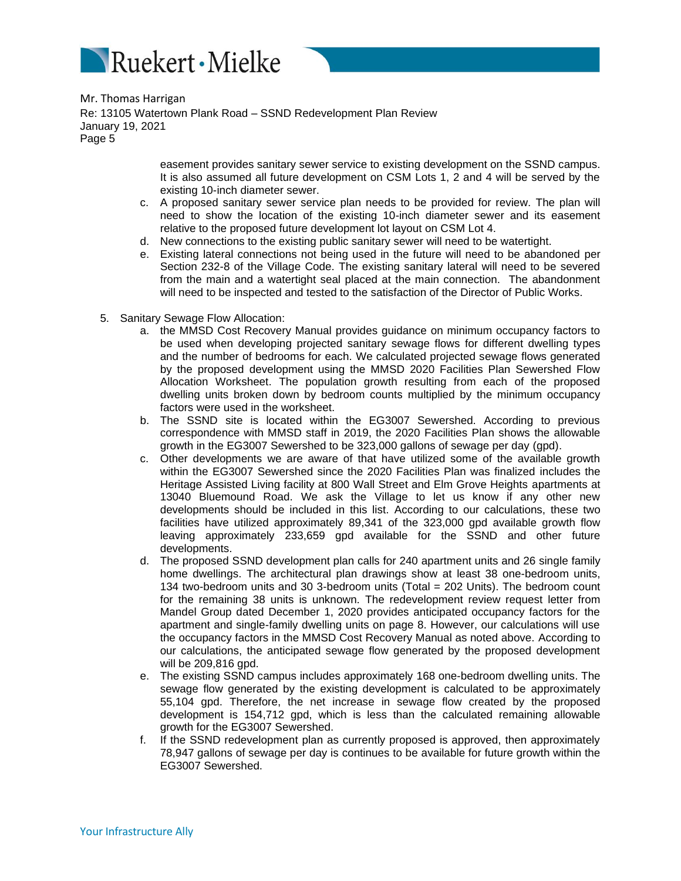

> easement provides sanitary sewer service to existing development on the SSND campus. It is also assumed all future development on CSM Lots 1, 2 and 4 will be served by the existing 10-inch diameter sewer.

- c. A proposed sanitary sewer service plan needs to be provided for review. The plan will need to show the location of the existing 10-inch diameter sewer and its easement relative to the proposed future development lot layout on CSM Lot 4.
- d. New connections to the existing public sanitary sewer will need to be watertight.
- e. Existing lateral connections not being used in the future will need to be abandoned per Section 232-8 of the Village Code. The existing sanitary lateral will need to be severed from the main and a watertight seal placed at the main connection. The abandonment will need to be inspected and tested to the satisfaction of the Director of Public Works.
- 5. Sanitary Sewage Flow Allocation:
	- a. the MMSD Cost Recovery Manual provides guidance on minimum occupancy factors to be used when developing projected sanitary sewage flows for different dwelling types and the number of bedrooms for each. We calculated projected sewage flows generated by the proposed development using the MMSD 2020 Facilities Plan Sewershed Flow Allocation Worksheet. The population growth resulting from each of the proposed dwelling units broken down by bedroom counts multiplied by the minimum occupancy factors were used in the worksheet.
	- b. The SSND site is located within the EG3007 Sewershed. According to previous correspondence with MMSD staff in 2019, the 2020 Facilities Plan shows the allowable growth in the EG3007 Sewershed to be 323,000 gallons of sewage per day (gpd).
	- c. Other developments we are aware of that have utilized some of the available growth within the EG3007 Sewershed since the 2020 Facilities Plan was finalized includes the Heritage Assisted Living facility at 800 Wall Street and Elm Grove Heights apartments at 13040 Bluemound Road. We ask the Village to let us know if any other new developments should be included in this list. According to our calculations, these two facilities have utilized approximately 89,341 of the 323,000 gpd available growth flow leaving approximately 233,659 gpd available for the SSND and other future developments.
	- d. The proposed SSND development plan calls for 240 apartment units and 26 single family home dwellings. The architectural plan drawings show at least 38 one-bedroom units, 134 two-bedroom units and 30 3-bedroom units (Total = 202 Units). The bedroom count for the remaining 38 units is unknown. The redevelopment review request letter from Mandel Group dated December 1, 2020 provides anticipated occupancy factors for the apartment and single-family dwelling units on page 8. However, our calculations will use the occupancy factors in the MMSD Cost Recovery Manual as noted above. According to our calculations, the anticipated sewage flow generated by the proposed development will be 209,816 gpd.
	- e. The existing SSND campus includes approximately 168 one-bedroom dwelling units. The sewage flow generated by the existing development is calculated to be approximately 55,104 gpd. Therefore, the net increase in sewage flow created by the proposed development is 154,712 gpd, which is less than the calculated remaining allowable growth for the EG3007 Sewershed.
	- f. If the SSND redevelopment plan as currently proposed is approved, then approximately 78,947 gallons of sewage per day is continues to be available for future growth within the EG3007 Sewershed.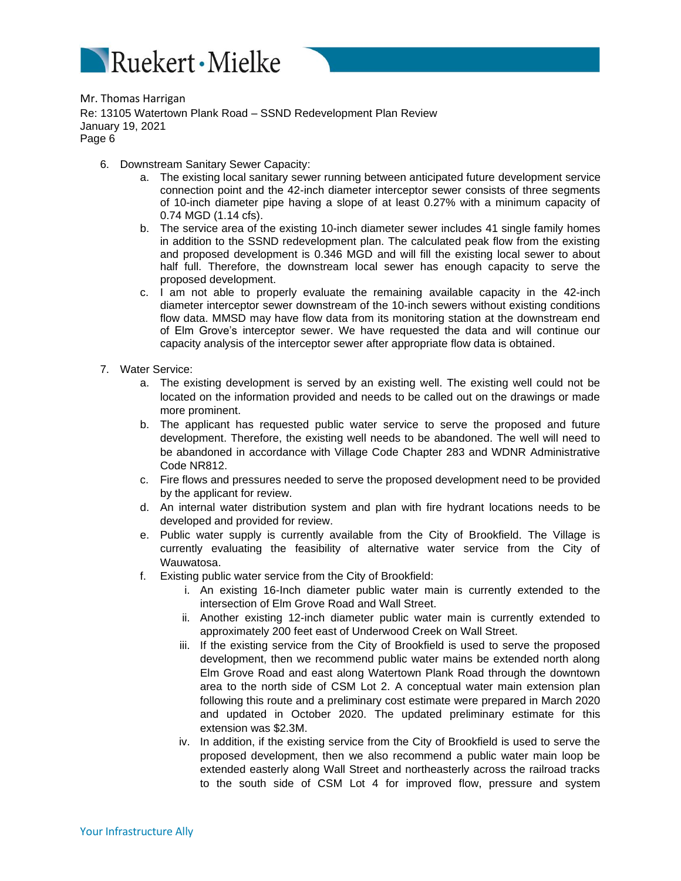

- 6. Downstream Sanitary Sewer Capacity:
	- a. The existing local sanitary sewer running between anticipated future development service connection point and the 42-inch diameter interceptor sewer consists of three segments of 10-inch diameter pipe having a slope of at least 0.27% with a minimum capacity of 0.74 MGD (1.14 cfs).
	- b. The service area of the existing 10-inch diameter sewer includes 41 single family homes in addition to the SSND redevelopment plan. The calculated peak flow from the existing and proposed development is 0.346 MGD and will fill the existing local sewer to about half full. Therefore, the downstream local sewer has enough capacity to serve the proposed development.
	- c. I am not able to properly evaluate the remaining available capacity in the 42-inch diameter interceptor sewer downstream of the 10-inch sewers without existing conditions flow data. MMSD may have flow data from its monitoring station at the downstream end of Elm Grove's interceptor sewer. We have requested the data and will continue our capacity analysis of the interceptor sewer after appropriate flow data is obtained.
- 7. Water Service:
	- a. The existing development is served by an existing well. The existing well could not be located on the information provided and needs to be called out on the drawings or made more prominent.
	- b. The applicant has requested public water service to serve the proposed and future development. Therefore, the existing well needs to be abandoned. The well will need to be abandoned in accordance with Village Code Chapter 283 and WDNR Administrative Code NR812.
	- c. Fire flows and pressures needed to serve the proposed development need to be provided by the applicant for review.
	- d. An internal water distribution system and plan with fire hydrant locations needs to be developed and provided for review.
	- e. Public water supply is currently available from the City of Brookfield. The Village is currently evaluating the feasibility of alternative water service from the City of Wauwatosa.
	- f. Existing public water service from the City of Brookfield:
		- i. An existing 16-Inch diameter public water main is currently extended to the intersection of Elm Grove Road and Wall Street.
		- ii. Another existing 12-inch diameter public water main is currently extended to approximately 200 feet east of Underwood Creek on Wall Street.
		- iii. If the existing service from the City of Brookfield is used to serve the proposed development, then we recommend public water mains be extended north along Elm Grove Road and east along Watertown Plank Road through the downtown area to the north side of CSM Lot 2. A conceptual water main extension plan following this route and a preliminary cost estimate were prepared in March 2020 and updated in October 2020. The updated preliminary estimate for this extension was \$2.3M.
		- iv. In addition, if the existing service from the City of Brookfield is used to serve the proposed development, then we also recommend a public water main loop be extended easterly along Wall Street and northeasterly across the railroad tracks to the south side of CSM Lot 4 for improved flow, pressure and system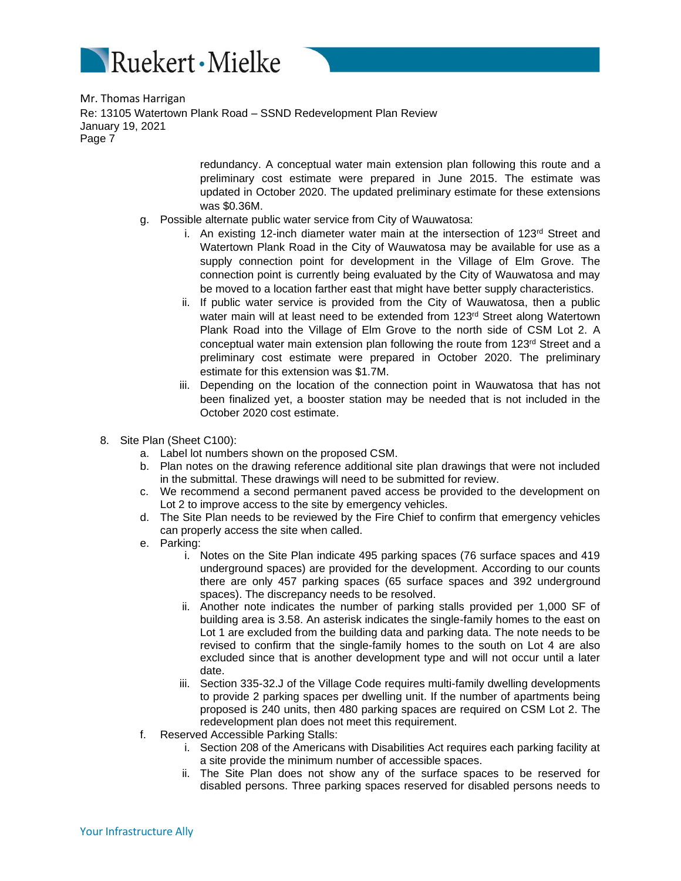

> redundancy. A conceptual water main extension plan following this route and a preliminary cost estimate were prepared in June 2015. The estimate was updated in October 2020. The updated preliminary estimate for these extensions was \$0.36M.

- g. Possible alternate public water service from City of Wauwatosa:
	- i. An existing 12-inch diameter water main at the intersection of 123rd Street and Watertown Plank Road in the City of Wauwatosa may be available for use as a supply connection point for development in the Village of Elm Grove. The connection point is currently being evaluated by the City of Wauwatosa and may be moved to a location farther east that might have better supply characteristics.
	- ii. If public water service is provided from the City of Wauwatosa, then a public water main will at least need to be extended from 123<sup>rd</sup> Street along Watertown Plank Road into the Village of Elm Grove to the north side of CSM Lot 2. A conceptual water main extension plan following the route from 123<sup>rd</sup> Street and a preliminary cost estimate were prepared in October 2020. The preliminary estimate for this extension was \$1.7M.
	- iii. Depending on the location of the connection point in Wauwatosa that has not been finalized yet, a booster station may be needed that is not included in the October 2020 cost estimate.
- 8. Site Plan (Sheet C100):
	- a. Label lot numbers shown on the proposed CSM.
	- b. Plan notes on the drawing reference additional site plan drawings that were not included in the submittal. These drawings will need to be submitted for review.
	- c. We recommend a second permanent paved access be provided to the development on Lot 2 to improve access to the site by emergency vehicles.
	- d. The Site Plan needs to be reviewed by the Fire Chief to confirm that emergency vehicles can properly access the site when called.
	- e. Parking:
		- i. Notes on the Site Plan indicate 495 parking spaces (76 surface spaces and 419 underground spaces) are provided for the development. According to our counts there are only 457 parking spaces (65 surface spaces and 392 underground spaces). The discrepancy needs to be resolved.
		- ii. Another note indicates the number of parking stalls provided per 1,000 SF of building area is 3.58. An asterisk indicates the single-family homes to the east on Lot 1 are excluded from the building data and parking data. The note needs to be revised to confirm that the single-family homes to the south on Lot 4 are also excluded since that is another development type and will not occur until a later date.
		- iii. Section 335-32.J of the Village Code requires multi-family dwelling developments to provide 2 parking spaces per dwelling unit. If the number of apartments being proposed is 240 units, then 480 parking spaces are required on CSM Lot 2. The redevelopment plan does not meet this requirement.
	- f. Reserved Accessible Parking Stalls:
		- i. Section 208 of the Americans with Disabilities Act requires each parking facility at a site provide the minimum number of accessible spaces.
		- ii. The Site Plan does not show any of the surface spaces to be reserved for disabled persons. Three parking spaces reserved for disabled persons needs to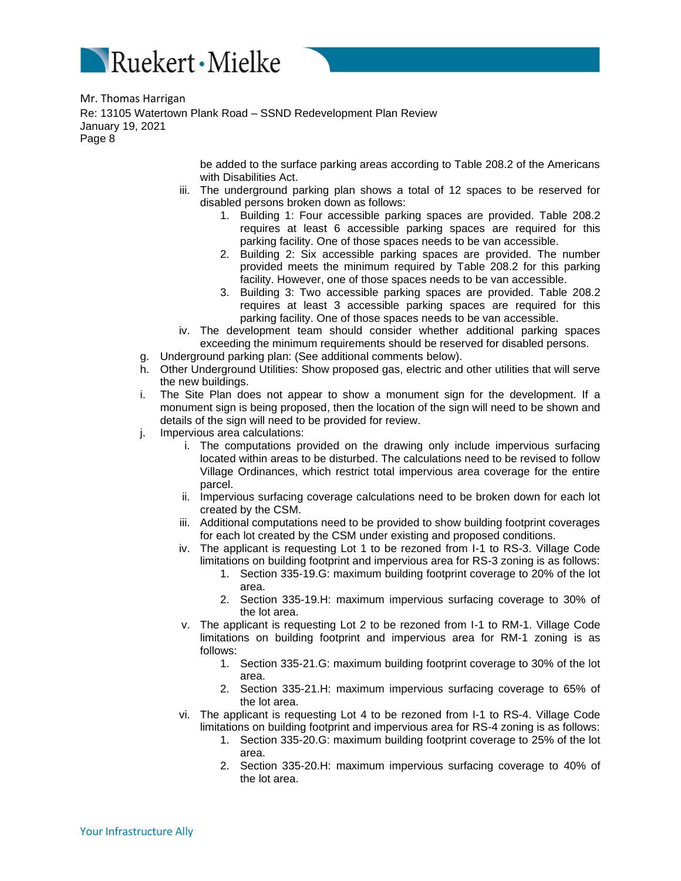

> be added to the surface parking areas according to Table 208.2 of the Americans with Disabilities Act.

- iii. The underground parking plan shows a total of 12 spaces to be reserved for disabled persons broken down as follows:
	- 1. Building 1: Four accessible parking spaces are provided. Table 208.2 requires at least 6 accessible parking spaces are required for this parking facility. One of those spaces needs to be van accessible.
	- 2. Building 2: Six accessible parking spaces are provided. The number provided meets the minimum required by Table 208.2 for this parking facility. However, one of those spaces needs to be van accessible.
	- 3. Building 3: Two accessible parking spaces are provided. Table 208.2 requires at least 3 accessible parking spaces are required for this parking facility. One of those spaces needs to be van accessible.
- iv. The development team should consider whether additional parking spaces exceeding the minimum requirements should be reserved for disabled persons.
- g. Underground parking plan: (See additional comments below).
- h. Other Underground Utilities: Show proposed gas, electric and other utilities that will serve the new buildings.
- i. The Site Plan does not appear to show a monument sign for the development. If a monument sign is being proposed, then the location of the sign will need to be shown and details of the sign will need to be provided for review.
- j. Impervious area calculations:
	- i. The computations provided on the drawing only include impervious surfacing located within areas to be disturbed. The calculations need to be revised to follow Village Ordinances, which restrict total impervious area coverage for the entire parcel.
	- ii. Impervious surfacing coverage calculations need to be broken down for each lot created by the CSM.
	- iii. Additional computations need to be provided to show building footprint coverages for each lot created by the CSM under existing and proposed conditions.
	- iv. The applicant is requesting Lot 1 to be rezoned from I-1 to RS-3. Village Code limitations on building footprint and impervious area for RS-3 zoning is as follows:
		- 1. Section 335-19.G: maximum building footprint coverage to 20% of the lot area.
			- 2. Section 335-19.H: maximum impervious surfacing coverage to 30% of the lot area.
	- v. The applicant is requesting Lot 2 to be rezoned from I-1 to RM-1. Village Code limitations on building footprint and impervious area for RM-1 zoning is as follows:
		- 1. Section 335-21.G: maximum building footprint coverage to 30% of the lot area.
		- 2. Section 335-21.H: maximum impervious surfacing coverage to 65% of the lot area.
	- vi. The applicant is requesting Lot 4 to be rezoned from I-1 to RS-4. Village Code limitations on building footprint and impervious area for RS-4 zoning is as follows:
		- 1. Section 335-20.G: maximum building footprint coverage to 25% of the lot area.
		- 2. Section 335-20.H: maximum impervious surfacing coverage to 40% of the lot area.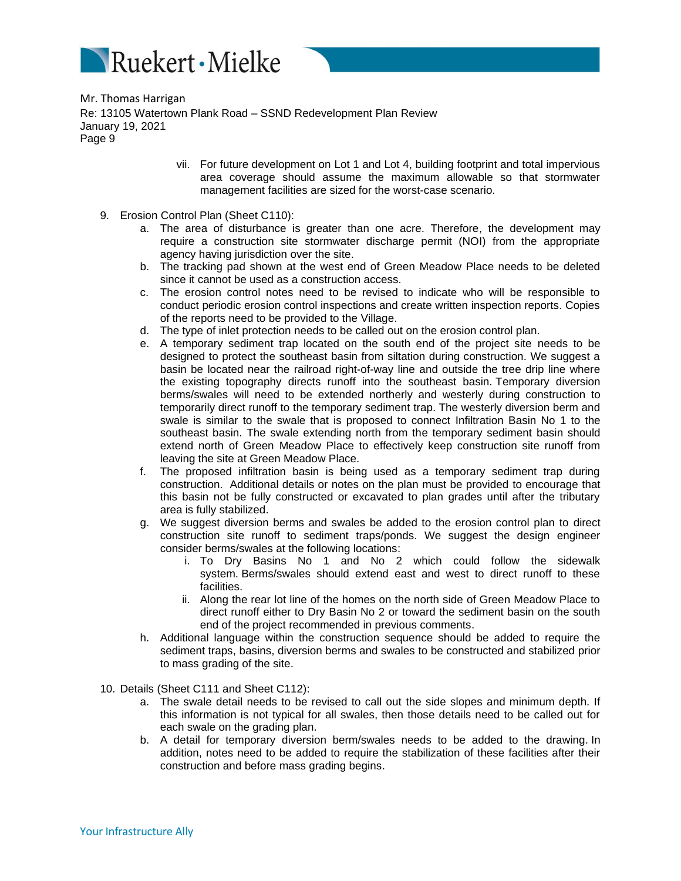

- vii. For future development on Lot 1 and Lot 4, building footprint and total impervious area coverage should assume the maximum allowable so that stormwater management facilities are sized for the worst-case scenario.
- 9. Erosion Control Plan (Sheet C110):
	- a. The area of disturbance is greater than one acre. Therefore, the development may require a construction site stormwater discharge permit (NOI) from the appropriate agency having jurisdiction over the site.
	- b. The tracking pad shown at the west end of Green Meadow Place needs to be deleted since it cannot be used as a construction access.
	- c. The erosion control notes need to be revised to indicate who will be responsible to conduct periodic erosion control inspections and create written inspection reports. Copies of the reports need to be provided to the Village.
	- d. The type of inlet protection needs to be called out on the erosion control plan.
	- e. A temporary sediment trap located on the south end of the project site needs to be designed to protect the southeast basin from siltation during construction. We suggest a basin be located near the railroad right-of-way line and outside the tree drip line where the existing topography directs runoff into the southeast basin. Temporary diversion berms/swales will need to be extended northerly and westerly during construction to temporarily direct runoff to the temporary sediment trap. The westerly diversion berm and swale is similar to the swale that is proposed to connect Infiltration Basin No 1 to the southeast basin. The swale extending north from the temporary sediment basin should extend north of Green Meadow Place to effectively keep construction site runoff from leaving the site at Green Meadow Place.
	- f. The proposed infiltration basin is being used as a temporary sediment trap during construction. Additional details or notes on the plan must be provided to encourage that this basin not be fully constructed or excavated to plan grades until after the tributary area is fully stabilized.
	- g. We suggest diversion berms and swales be added to the erosion control plan to direct construction site runoff to sediment traps/ponds. We suggest the design engineer consider berms/swales at the following locations:
		- i. To Dry Basins No 1 and No 2 which could follow the sidewalk system. Berms/swales should extend east and west to direct runoff to these facilities.
		- ii. Along the rear lot line of the homes on the north side of Green Meadow Place to direct runoff either to Dry Basin No 2 or toward the sediment basin on the south end of the project recommended in previous comments.
	- h. Additional language within the construction sequence should be added to require the sediment traps, basins, diversion berms and swales to be constructed and stabilized prior to mass grading of the site.
- 10. Details (Sheet C111 and Sheet C112):
	- a. The swale detail needs to be revised to call out the side slopes and minimum depth. If this information is not typical for all swales, then those details need to be called out for each swale on the grading plan.
	- b. A detail for temporary diversion berm/swales needs to be added to the drawing. In addition, notes need to be added to require the stabilization of these facilities after their construction and before mass grading begins.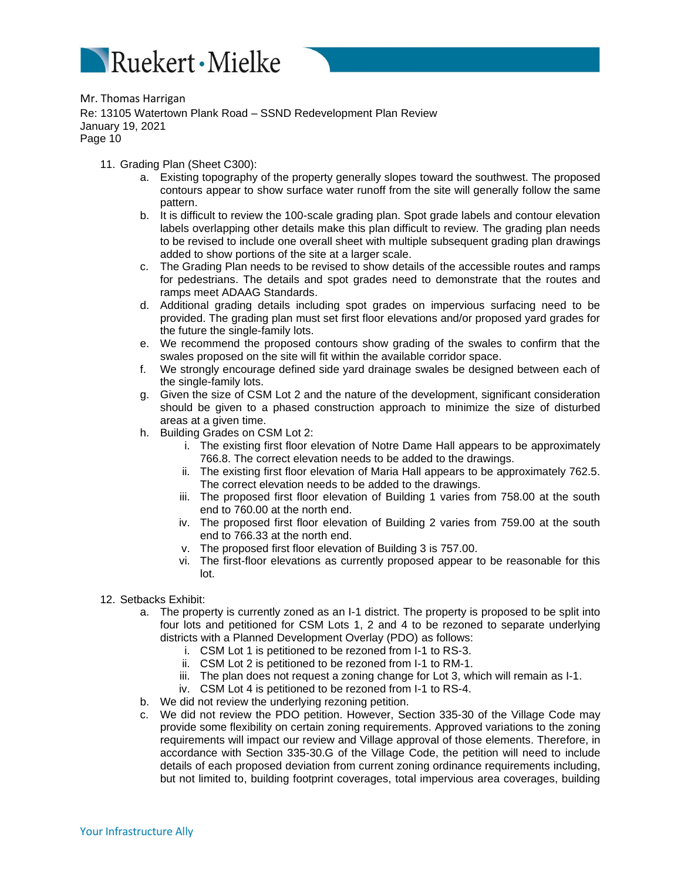

- 11. Grading Plan (Sheet C300):
	- a. Existing topography of the property generally slopes toward the southwest. The proposed contours appear to show surface water runoff from the site will generally follow the same pattern.
	- b. It is difficult to review the 100-scale grading plan. Spot grade labels and contour elevation labels overlapping other details make this plan difficult to review. The grading plan needs to be revised to include one overall sheet with multiple subsequent grading plan drawings added to show portions of the site at a larger scale.
	- c. The Grading Plan needs to be revised to show details of the accessible routes and ramps for pedestrians. The details and spot grades need to demonstrate that the routes and ramps meet ADAAG Standards.
	- d. Additional grading details including spot grades on impervious surfacing need to be provided. The grading plan must set first floor elevations and/or proposed yard grades for the future the single-family lots.
	- e. We recommend the proposed contours show grading of the swales to confirm that the swales proposed on the site will fit within the available corridor space.
	- f. We strongly encourage defined side yard drainage swales be designed between each of the single-family lots.
	- g. Given the size of CSM Lot 2 and the nature of the development, significant consideration should be given to a phased construction approach to minimize the size of disturbed areas at a given time.
	- h. Building Grades on CSM Lot 2:
		- i. The existing first floor elevation of Notre Dame Hall appears to be approximately 766.8. The correct elevation needs to be added to the drawings.
		- ii. The existing first floor elevation of Maria Hall appears to be approximately 762.5. The correct elevation needs to be added to the drawings.
		- iii. The proposed first floor elevation of Building 1 varies from 758.00 at the south end to 760.00 at the north end.
		- iv. The proposed first floor elevation of Building 2 varies from 759.00 at the south end to 766.33 at the north end.
		- v. The proposed first floor elevation of Building 3 is 757.00.
		- vi. The first-floor elevations as currently proposed appear to be reasonable for this lot.
- 12. Setbacks Exhibit:
	- a. The property is currently zoned as an I-1 district. The property is proposed to be split into four lots and petitioned for CSM Lots 1, 2 and 4 to be rezoned to separate underlying districts with a Planned Development Overlay (PDO) as follows:
		- i. CSM Lot 1 is petitioned to be rezoned from I-1 to RS-3.
		- ii. CSM Lot 2 is petitioned to be rezoned from I-1 to RM-1.
		- iii. The plan does not request a zoning change for Lot 3, which will remain as I-1.
		- iv. CSM Lot 4 is petitioned to be rezoned from I-1 to RS-4.
	- b. We did not review the underlying rezoning petition.
	- c. We did not review the PDO petition. However, Section 335-30 of the Village Code may provide some flexibility on certain zoning requirements. Approved variations to the zoning requirements will impact our review and Village approval of those elements. Therefore, in accordance with Section 335-30.G of the Village Code, the petition will need to include details of each proposed deviation from current zoning ordinance requirements including, but not limited to, building footprint coverages, total impervious area coverages, building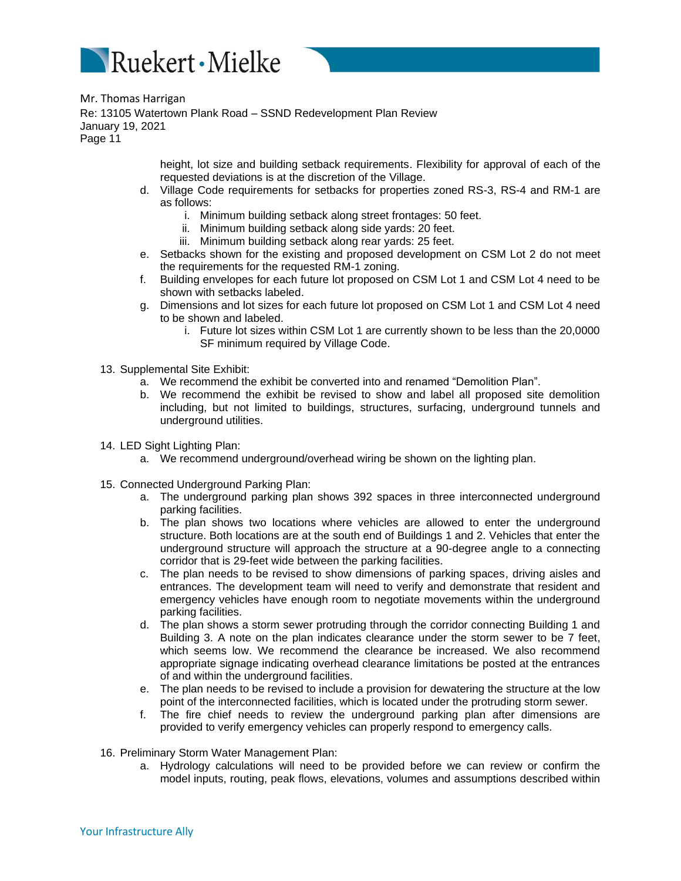

> height, lot size and building setback requirements. Flexibility for approval of each of the requested deviations is at the discretion of the Village.

- d. Village Code requirements for setbacks for properties zoned RS-3, RS-4 and RM-1 are as follows:
	- i. Minimum building setback along street frontages: 50 feet.
	- ii. Minimum building setback along side yards: 20 feet.
	- iii. Minimum building setback along rear yards: 25 feet.
- e. Setbacks shown for the existing and proposed development on CSM Lot 2 do not meet the requirements for the requested RM-1 zoning.
- f. Building envelopes for each future lot proposed on CSM Lot 1 and CSM Lot 4 need to be shown with setbacks labeled.
- g. Dimensions and lot sizes for each future lot proposed on CSM Lot 1 and CSM Lot 4 need to be shown and labeled.
	- i. Future lot sizes within CSM Lot 1 are currently shown to be less than the 20,0000 SF minimum required by Village Code.
- 13. Supplemental Site Exhibit:
	- a. We recommend the exhibit be converted into and renamed "Demolition Plan".
	- b. We recommend the exhibit be revised to show and label all proposed site demolition including, but not limited to buildings, structures, surfacing, underground tunnels and underground utilities.
- 14. LED Sight Lighting Plan:
	- a. We recommend underground/overhead wiring be shown on the lighting plan.
- 15. Connected Underground Parking Plan:
	- a. The underground parking plan shows 392 spaces in three interconnected underground parking facilities.
	- b. The plan shows two locations where vehicles are allowed to enter the underground structure. Both locations are at the south end of Buildings 1 and 2. Vehicles that enter the underground structure will approach the structure at a 90-degree angle to a connecting corridor that is 29-feet wide between the parking facilities.
	- c. The plan needs to be revised to show dimensions of parking spaces, driving aisles and entrances. The development team will need to verify and demonstrate that resident and emergency vehicles have enough room to negotiate movements within the underground parking facilities.
	- d. The plan shows a storm sewer protruding through the corridor connecting Building 1 and Building 3. A note on the plan indicates clearance under the storm sewer to be 7 feet, which seems low. We recommend the clearance be increased. We also recommend appropriate signage indicating overhead clearance limitations be posted at the entrances of and within the underground facilities.
	- e. The plan needs to be revised to include a provision for dewatering the structure at the low point of the interconnected facilities, which is located under the protruding storm sewer.
	- f. The fire chief needs to review the underground parking plan after dimensions are provided to verify emergency vehicles can properly respond to emergency calls.
- 16. Preliminary Storm Water Management Plan:
	- a. Hydrology calculations will need to be provided before we can review or confirm the model inputs, routing, peak flows, elevations, volumes and assumptions described within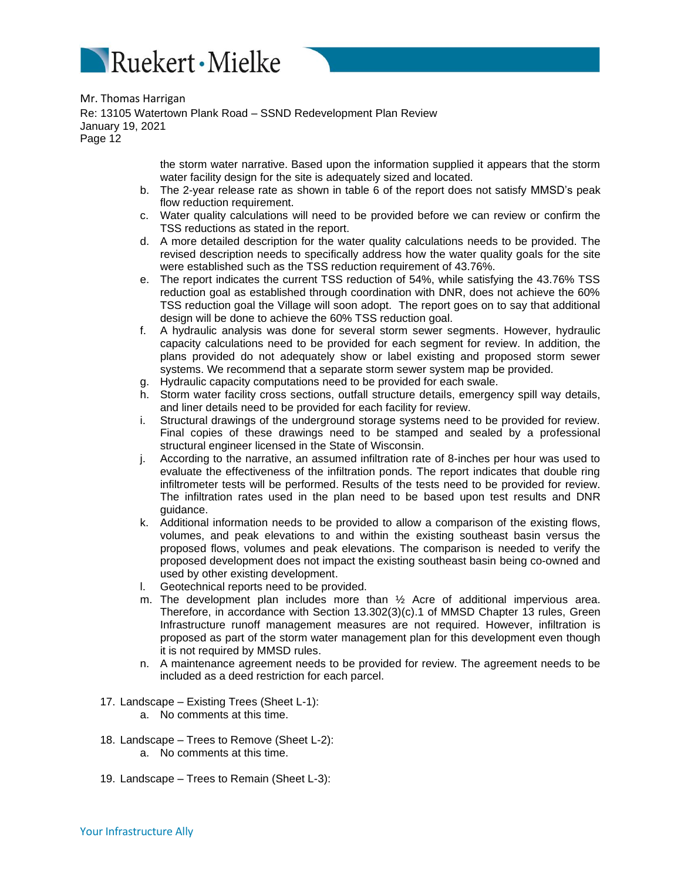

> the storm water narrative. Based upon the information supplied it appears that the storm water facility design for the site is adequately sized and located.

- b. The 2-year release rate as shown in table 6 of the report does not satisfy MMSD's peak flow reduction requirement.
- c. Water quality calculations will need to be provided before we can review or confirm the TSS reductions as stated in the report.
- d. A more detailed description for the water quality calculations needs to be provided. The revised description needs to specifically address how the water quality goals for the site were established such as the TSS reduction requirement of 43.76%.
- e. The report indicates the current TSS reduction of 54%, while satisfying the 43.76% TSS reduction goal as established through coordination with DNR, does not achieve the 60% TSS reduction goal the Village will soon adopt. The report goes on to say that additional design will be done to achieve the 60% TSS reduction goal.
- f. A hydraulic analysis was done for several storm sewer segments. However, hydraulic capacity calculations need to be provided for each segment for review. In addition, the plans provided do not adequately show or label existing and proposed storm sewer systems. We recommend that a separate storm sewer system map be provided.
- g. Hydraulic capacity computations need to be provided for each swale.
- h. Storm water facility cross sections, outfall structure details, emergency spill way details, and liner details need to be provided for each facility for review.
- i. Structural drawings of the underground storage systems need to be provided for review. Final copies of these drawings need to be stamped and sealed by a professional structural engineer licensed in the State of Wisconsin.
- j. According to the narrative, an assumed infiltration rate of 8-inches per hour was used to evaluate the effectiveness of the infiltration ponds. The report indicates that double ring infiltrometer tests will be performed. Results of the tests need to be provided for review. The infiltration rates used in the plan need to be based upon test results and DNR guidance.
- k. Additional information needs to be provided to allow a comparison of the existing flows, volumes, and peak elevations to and within the existing southeast basin versus the proposed flows, volumes and peak elevations. The comparison is needed to verify the proposed development does not impact the existing southeast basin being co-owned and used by other existing development.
- l. Geotechnical reports need to be provided.
- m. The development plan includes more than ½ Acre of additional impervious area. Therefore, in accordance with Section 13.302(3)(c).1 of MMSD Chapter 13 rules, Green Infrastructure runoff management measures are not required. However, infiltration is proposed as part of the storm water management plan for this development even though it is not required by MMSD rules.
- n. A maintenance agreement needs to be provided for review. The agreement needs to be included as a deed restriction for each parcel.
- 17. Landscape Existing Trees (Sheet L-1):
	- a. No comments at this time.
- 18. Landscape Trees to Remove (Sheet L-2):
	- a. No comments at this time.
- 19. Landscape Trees to Remain (Sheet L-3):